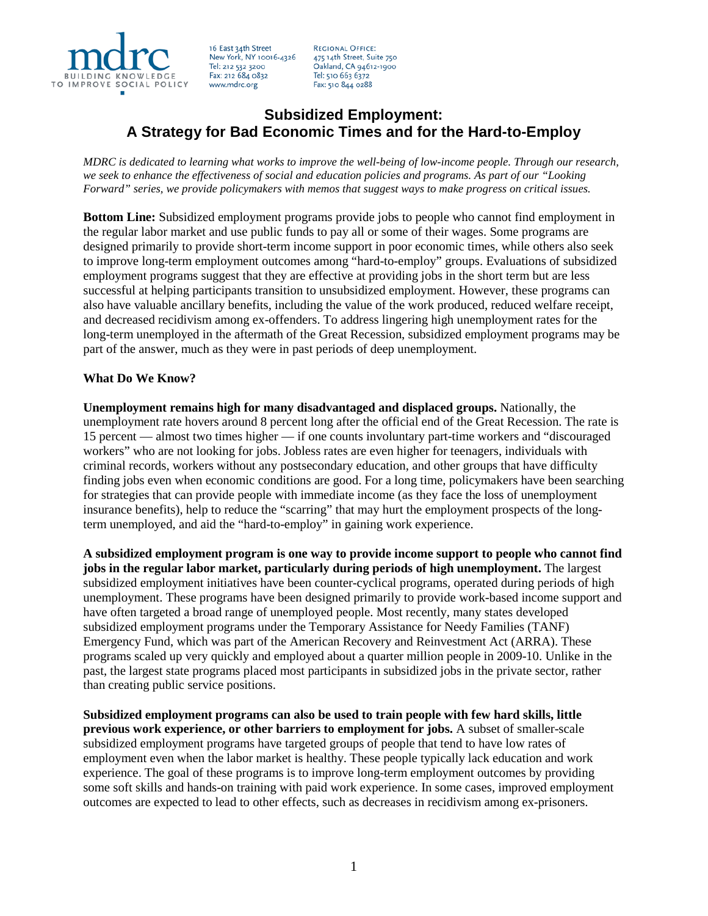

16 East 34th Street New York, NY 10016-4326 Tel: 212 532 3200 Fax: 212 684 0832 www.mdrc.org

**REGIONAL OFFICE:** 475 14th Street, Suite 750 Oakland, CA 94612-1900 Tel: 510 663 6372 Fax: 510 844 0288

## **Subsidized Employment: A Strategy for Bad Economic Times and for the Hard-to-Employ**

*MDRC is dedicated to learning what works to improve the well-being of low-income people. Through our research, we seek to enhance the effectiveness of social and education policies and programs. As part of our "Looking Forward" series, we provide policymakers with memos that suggest ways to make progress on critical issues.*

**Bottom Line:** Subsidized employment programs provide jobs to people who cannot find employment in the regular labor market and use public funds to pay all or some of their wages. Some programs are designed primarily to provide short-term income support in poor economic times, while others also seek to improve long-term employment outcomes among "hard-to-employ" groups. Evaluations of subsidized employment programs suggest that they are effective at providing jobs in the short term but are less successful at helping participants transition to unsubsidized employment. However, these programs can also have valuable ancillary benefits, including the value of the work produced, reduced welfare receipt, and decreased recidivism among ex-offenders. To address lingering high unemployment rates for the long-term unemployed in the aftermath of the Great Recession, subsidized employment programs may be part of the answer, much as they were in past periods of deep unemployment.

## **What Do We Know?**

**Unemployment remains high for many disadvantaged and displaced groups.** Nationally, the unemployment rate hovers around 8 percent long after the official end of the Great Recession. The rate is 15 percent — almost two times higher — if one counts involuntary part-time workers and "discouraged workers" who are not looking for jobs. Jobless rates are even higher for teenagers, individuals with criminal records, workers without any postsecondary education, and other groups that have difficulty finding jobs even when economic conditions are good. For a long time, policymakers have been searching for strategies that can provide people with immediate income (as they face the loss of unemployment insurance benefits), help to reduce the "scarring" that may hurt the employment prospects of the longterm unemployed, and aid the "hard-to-employ" in gaining work experience.

**A subsidized employment program is one way to provide income support to people who cannot find jobs in the regular labor market, particularly during periods of high unemployment.** The largest subsidized employment initiatives have been counter-cyclical programs, operated during periods of high unemployment. These programs have been designed primarily to provide work-based income support and have often targeted a broad range of unemployed people. Most recently, many states developed subsidized employment programs under the Temporary Assistance for Needy Families (TANF) Emergency Fund, which was part of the American Recovery and Reinvestment Act (ARRA). These programs scaled up very quickly and employed about a quarter million people in 2009-10. Unlike in the past, the largest state programs placed most participants in subsidized jobs in the private sector, rather than creating public service positions.

**Subsidized employment programs can also be used to train people with few hard skills, little previous work experience, or other barriers to employment for jobs.** A subset of smaller-scale subsidized employment programs have targeted groups of people that tend to have low rates of employment even when the labor market is healthy. These people typically lack education and work experience. The goal of these programs is to improve long-term employment outcomes by providing some soft skills and hands-on training with paid work experience. In some cases, improved employment outcomes are expected to lead to other effects, such as decreases in recidivism among ex-prisoners.